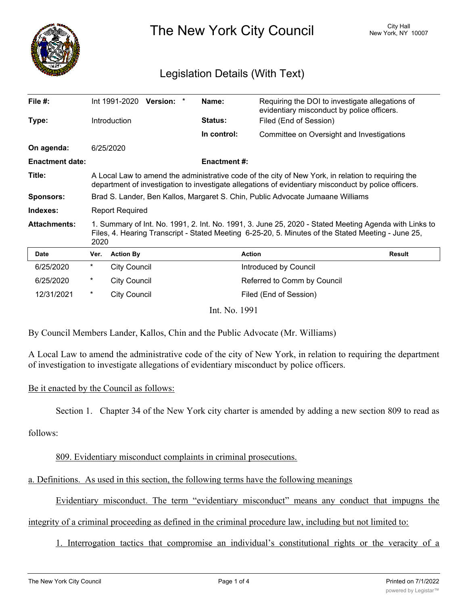

The New York City Council New York, NY 10007

# Legislation Details (With Text)

| File #:                |                                                                                                                                                                                                                     | Int 1991-2020 Version: * | Name:               | Requiring the DOI to investigate allegations of<br>evidentiary misconduct by police officers. |               |
|------------------------|---------------------------------------------------------------------------------------------------------------------------------------------------------------------------------------------------------------------|--------------------------|---------------------|-----------------------------------------------------------------------------------------------|---------------|
| Type:                  |                                                                                                                                                                                                                     | Introduction             | <b>Status:</b>      | Filed (End of Session)                                                                        |               |
|                        |                                                                                                                                                                                                                     |                          | In control:         | Committee on Oversight and Investigations                                                     |               |
| On agenda:             |                                                                                                                                                                                                                     | 6/25/2020                |                     |                                                                                               |               |
| <b>Enactment date:</b> |                                                                                                                                                                                                                     |                          | <b>Enactment #:</b> |                                                                                               |               |
| Title:                 | A Local Law to amend the administrative code of the city of New York, in relation to requiring the<br>department of investigation to investigate allegations of evidentiary misconduct by police officers.          |                          |                     |                                                                                               |               |
| <b>Sponsors:</b>       | Brad S. Lander, Ben Kallos, Margaret S. Chin, Public Advocate Jumaane Williams                                                                                                                                      |                          |                     |                                                                                               |               |
| Indexes:               | <b>Report Required</b>                                                                                                                                                                                              |                          |                     |                                                                                               |               |
| <b>Attachments:</b>    | 1. Summary of Int. No. 1991, 2. Int. No. 1991, 3. June 25, 2020 - Stated Meeting Agenda with Links to<br>Files, 4. Hearing Transcript - Stated Meeting 6-25-20, 5. Minutes of the Stated Meeting - June 25,<br>2020 |                          |                     |                                                                                               |               |
| <b>Date</b>            | Ver.                                                                                                                                                                                                                | <b>Action By</b>         |                     | <b>Action</b>                                                                                 | <b>Result</b> |
| 6/25/2020              | $^{\star}$                                                                                                                                                                                                          | <b>City Council</b>      |                     | Introduced by Council                                                                         |               |
| 6/25/2020              | *                                                                                                                                                                                                                   | <b>City Council</b>      |                     | Referred to Comm by Council                                                                   |               |
| 12/31/2021             | $^\star$                                                                                                                                                                                                            | <b>City Council</b>      |                     | Filed (End of Session)                                                                        |               |
| Int. No. 1991          |                                                                                                                                                                                                                     |                          |                     |                                                                                               |               |

By Council Members Lander, Kallos, Chin and the Public Advocate (Mr. Williams)

A Local Law to amend the administrative code of the city of New York, in relation to requiring the department of investigation to investigate allegations of evidentiary misconduct by police officers.

## Be it enacted by the Council as follows:

Section 1. Chapter 34 of the New York city charter is amended by adding a new section 809 to read as

follows:

809. Evidentiary misconduct complaints in criminal prosecutions.

a. Definitions. As used in this section, the following terms have the following meanings

Evidentiary misconduct. The term "evidentiary misconduct" means any conduct that impugns the

integrity of a criminal proceeding as defined in the criminal procedure law, including but not limited to:

1. Interrogation tactics that compromise an individual's constitutional rights or the veracity of a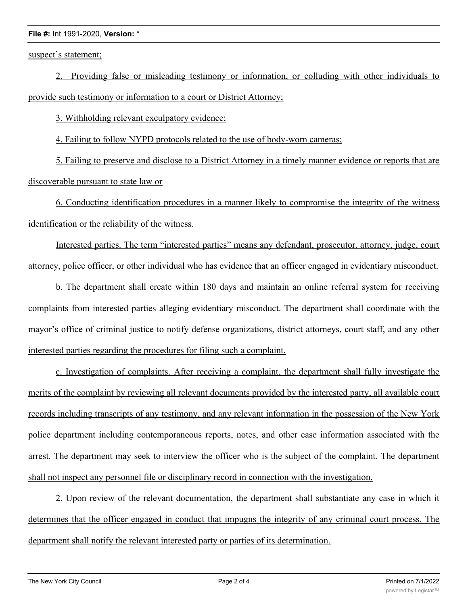### **File #:** Int 1991-2020, **Version:** \*

suspect's statement;

2. Providing false or misleading testimony or information, or colluding with other individuals to provide such testimony or information to a court or District Attorney;

3. Withholding relevant exculpatory evidence;

4. Failing to follow NYPD protocols related to the use of body-worn cameras;

5. Failing to preserve and disclose to a District Attorney in a timely manner evidence or reports that are discoverable pursuant to state law or

6. Conducting identification procedures in a manner likely to compromise the integrity of the witness identification or the reliability of the witness.

Interested parties. The term "interested parties" means any defendant, prosecutor, attorney, judge, court attorney, police officer, or other individual who has evidence that an officer engaged in evidentiary misconduct.

b. The department shall create within 180 days and maintain an online referral system for receiving complaints from interested parties alleging evidentiary misconduct. The department shall coordinate with the mayor's office of criminal justice to notify defense organizations, district attorneys, court staff, and any other interested parties regarding the procedures for filing such a complaint.

c. Investigation of complaints. After receiving a complaint, the department shall fully investigate the merits of the complaint by reviewing all relevant documents provided by the interested party, all available court records including transcripts of any testimony, and any relevant information in the possession of the New York police department including contemporaneous reports, notes, and other case information associated with the arrest. The department may seek to interview the officer who is the subject of the complaint. The department shall not inspect any personnel file or disciplinary record in connection with the investigation.

2. Upon review of the relevant documentation, the department shall substantiate any case in which it determines that the officer engaged in conduct that impugns the integrity of any criminal court process. The department shall notify the relevant interested party or parties of its determination.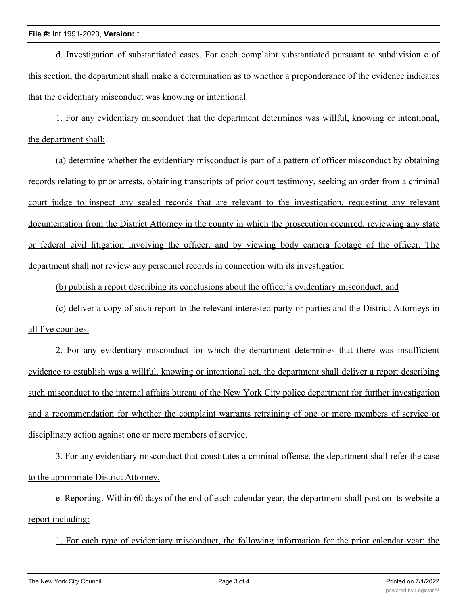#### **File #:** Int 1991-2020, **Version:** \*

d. Investigation of substantiated cases. For each complaint substantiated pursuant to subdivision c of this section, the department shall make a determination as to whether a preponderance of the evidence indicates that the evidentiary misconduct was knowing or intentional.

1. For any evidentiary misconduct that the department determines was willful, knowing or intentional, the department shall:

(a) determine whether the evidentiary misconduct is part of a pattern of officer misconduct by obtaining records relating to prior arrests, obtaining transcripts of prior court testimony, seeking an order from a criminal court judge to inspect any sealed records that are relevant to the investigation, requesting any relevant documentation from the District Attorney in the county in which the prosecution occurred, reviewing any state or federal civil litigation involving the officer, and by viewing body camera footage of the officer. The department shall not review any personnel records in connection with its investigation

(b) publish a report describing its conclusions about the officer's evidentiary misconduct; and

(c) deliver a copy of such report to the relevant interested party or parties and the District Attorneys in all five counties.

2. For any evidentiary misconduct for which the department determines that there was insufficient evidence to establish was a willful, knowing or intentional act, the department shall deliver a report describing such misconduct to the internal affairs bureau of the New York City police department for further investigation and a recommendation for whether the complaint warrants retraining of one or more members of service or disciplinary action against one or more members of service.

3. For any evidentiary misconduct that constitutes a criminal offense, the department shall refer the case to the appropriate District Attorney.

e. Reporting. Within 60 days of the end of each calendar year, the department shall post on its website a report including:

1. For each type of evidentiary misconduct, the following information for the prior calendar year: the